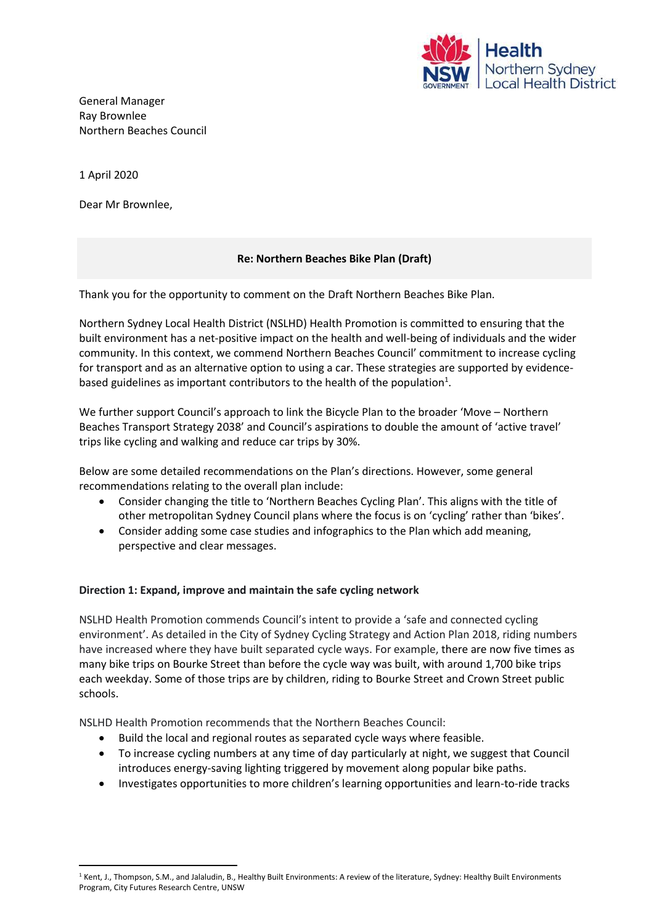

General Manager Ray Brownlee Northern Beaches Council

1 April 2020

Dear Mr Brownlee,

## **Re: Northern Beaches Bike Plan (Draft)**

Thank you for the opportunity to comment on the Draft Northern Beaches Bike Plan.

Northern Sydney Local Health District (NSLHD) Health Promotion is committed to ensuring that the built environment has a net‐positive impact on the health and well-being of individuals and the wider community. In this context, we commend Northern Beaches Council' commitment to increase cycling for transport and as an alternative option to using a car. These strategies are supported by evidencebased guidelines as important contributors to the health of the population<sup>1</sup>.

We further support Council's approach to link the Bicycle Plan to the broader 'Move – Northern Beaches Transport Strategy 2038' and Council's aspirations to double the amount of 'active travel' trips like cycling and walking and reduce car trips by 30%.

Below are some detailed recommendations on the Plan's directions. However, some general recommendations relating to the overall plan include:

- Consider changing the title to 'Northern Beaches Cycling Plan'. This aligns with the title of other metropolitan Sydney Council plans where the focus is on 'cycling' rather than 'bikes'.
- Consider adding some case studies and infographics to the Plan which add meaning, perspective and clear messages.

## **Direction 1: Expand, improve and maintain the safe cycling network**

NSLHD Health Promotion commends Council's intent to provide a 'safe and connected cycling environment'. As detailed in the City of Sydney Cycling Strategy and Action Plan 2018, riding numbers have increased where they have built separated cycle ways. For example, there are now five times as many bike trips on Bourke Street than before the cycle way was built, with around 1,700 bike trips each weekday. Some of those trips are by children, riding to Bourke Street and Crown Street public schools.

NSLHD Health Promotion recommends that the Northern Beaches Council:

- Build the local and regional routes as separated cycle ways where feasible.
- To increase cycling numbers at any time of day particularly at night, we suggest that Council introduces energy-saving lighting triggered by movement along popular bike paths.
- Investigates opportunities to more children's learning opportunities and learn-to-ride tracks

<sup>&</sup>lt;sup>1</sup> Kent, J., Thompson, S.M., and Jalaludin, B., Healthy Built Environments: A review of the literature, Sydney: Healthy Built Environments Program, City Futures Research Centre, UNSW